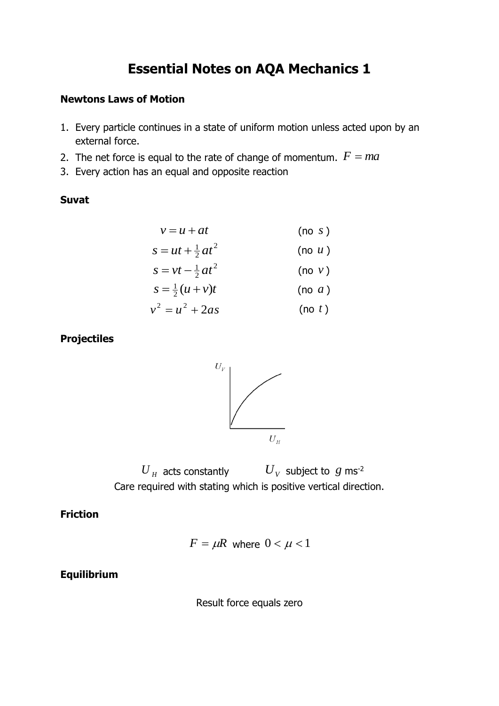# **Essential Notes on AQA Mechanics 1**

#### **Newtons Laws of Motion**

- 1. Every particle continues in a state of uniform motion unless acted upon by an external force.
- 2. The net force is equal to the rate of change of momentum.  $F = ma$
- 3. Every action has an equal and opposite reaction

### **Suvat**

$$
v = u + at \qquad (\text{no } s)
$$

$$
s = ut + \frac{1}{2}at^2
$$
 (no *u*)  
\n
$$
s = vt - \frac{1}{2}at^2
$$
 (no *v*)

$$
s = \frac{1}{2}(u+v)t
$$
 (no *a*)

$$
v^2 = u^2 + 2as \qquad \qquad \text{(no } t\text{)}
$$

# **Projectiles**



 $U_{\overline{H}}$  acts constantly  $U_{\overline{V}}$  subject to  $g$  ms<sup>-2</sup> Care required with stating which is positive vertical direction.

## **Friction**

$$
F = \mu R \text{ where } 0 < \mu < 1
$$

#### **Equilibrium**

Result force equals zero